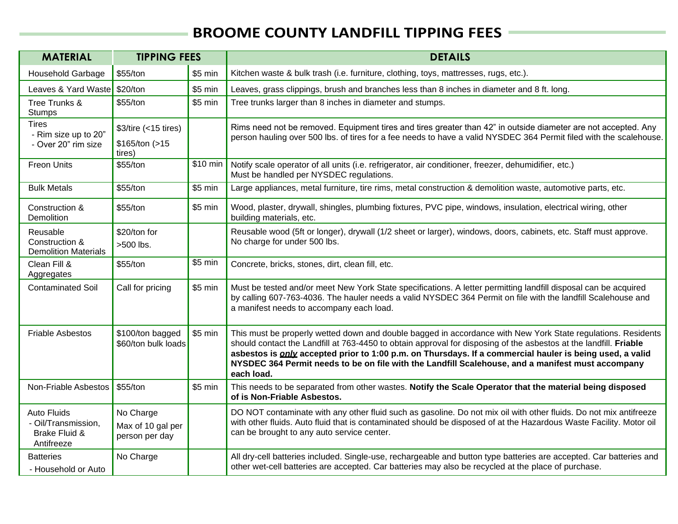## **BROOME COUNTY LANDFILL TIPPING FEES**

| <b>MATERIAL</b>                                                          | <b>TIPPING FEES</b>                               |          | <b>DETAILS</b>                                                                                                                                                                                                                                                                                                                                                                                                                                                   |
|--------------------------------------------------------------------------|---------------------------------------------------|----------|------------------------------------------------------------------------------------------------------------------------------------------------------------------------------------------------------------------------------------------------------------------------------------------------------------------------------------------------------------------------------------------------------------------------------------------------------------------|
| <b>Household Garbage</b>                                                 | \$55/ton                                          | \$5 min  | Kitchen waste & bulk trash (i.e. furniture, clothing, toys, mattresses, rugs, etc.).                                                                                                                                                                                                                                                                                                                                                                             |
| Leaves & Yard Waste \$20/ton                                             |                                                   | \$5 min  | Leaves, grass clippings, brush and branches less than 8 inches in diameter and 8 ft. long.                                                                                                                                                                                                                                                                                                                                                                       |
| Tree Trunks &<br><b>Stumps</b>                                           | \$55/ton                                          | \$5 min  | Tree trunks larger than 8 inches in diameter and stumps.                                                                                                                                                                                                                                                                                                                                                                                                         |
| Tires<br>- Rim size up to 20"<br>- Over 20" rim size                     | \$3/tire (< 15 tires)<br>\$165/ton (>15<br>tires) |          | Rims need not be removed. Equipment tires and tires greater than 42" in outside diameter are not accepted. Any<br>person hauling over 500 lbs. of tires for a fee needs to have a valid NYSDEC 364 Permit filed with the scalehouse.                                                                                                                                                                                                                             |
| <b>Freon Units</b>                                                       | \$55/ton                                          | \$10 min | Notify scale operator of all units (i.e. refrigerator, air conditioner, freezer, dehumidifier, etc.)<br>Must be handled per NYSDEC regulations.                                                                                                                                                                                                                                                                                                                  |
| <b>Bulk Metals</b>                                                       | \$55/ton                                          | \$5 min  | Large appliances, metal furniture, tire rims, metal construction & demolition waste, automotive parts, etc.                                                                                                                                                                                                                                                                                                                                                      |
| Construction &<br>Demolition                                             | \$55/ton                                          | \$5 min  | Wood, plaster, drywall, shingles, plumbing fixtures, PVC pipe, windows, insulation, electrical wiring, other<br>building materials, etc.                                                                                                                                                                                                                                                                                                                         |
| Reusable<br>Construction &<br><b>Demolition Materials</b>                | \$20/ton for<br>>500 lbs.                         |          | Reusable wood (5ft or longer), drywall (1/2 sheet or larger), windows, doors, cabinets, etc. Staff must approve.<br>No charge for under 500 lbs.                                                                                                                                                                                                                                                                                                                 |
| Clean Fill &<br>Aggregates                                               | \$55/ton                                          | \$5 min  | Concrete, bricks, stones, dirt, clean fill, etc.                                                                                                                                                                                                                                                                                                                                                                                                                 |
| <b>Contaminated Soil</b>                                                 | Call for pricing                                  | \$5 min  | Must be tested and/or meet New York State specifications. A letter permitting landfill disposal can be acquired<br>by calling 607-763-4036. The hauler needs a valid NYSDEC 364 Permit on file with the landfill Scalehouse and<br>a manifest needs to accompany each load.                                                                                                                                                                                      |
| <b>Friable Asbestos</b>                                                  | \$100/ton bagged<br>\$60/ton bulk loads           | \$5 min  | This must be properly wetted down and double bagged in accordance with New York State regulations. Residents<br>should contact the Landfill at 763-4450 to obtain approval for disposing of the asbestos at the landfill. Friable<br>asbestos is only accepted prior to 1:00 p.m. on Thursdays. If a commercial hauler is being used, a valid<br>NYSDEC 364 Permit needs to be on file with the Landfill Scalehouse, and a manifest must accompany<br>each load. |
| Non-Friable Asbestos                                                     | \$55/ton                                          | \$5 min  | This needs to be separated from other wastes. Notify the Scale Operator that the material being disposed<br>of is Non-Friable Asbestos.                                                                                                                                                                                                                                                                                                                          |
| <b>Auto Fluids</b><br>- Oil/Transmission,<br>Brake Fluid &<br>Antifreeze | No Charge<br>Max of 10 gal per<br>person per day  |          | DO NOT contaminate with any other fluid such as gasoline. Do not mix oil with other fluids. Do not mix antifreeze<br>with other fluids. Auto fluid that is contaminated should be disposed of at the Hazardous Waste Facility. Motor oil<br>can be brought to any auto service center.                                                                                                                                                                           |
| <b>Batteries</b><br>- Household or Auto                                  | No Charge                                         |          | All dry-cell batteries included. Single-use, rechargeable and button type batteries are accepted. Car batteries and<br>other wet-cell batteries are accepted. Car batteries may also be recycled at the place of purchase.                                                                                                                                                                                                                                       |